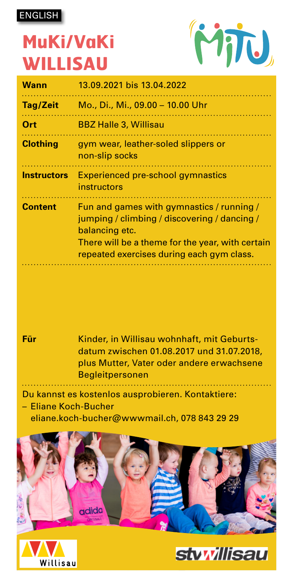ENGLISH

## **MuKi/VaKi WILLISAU**



| Wann               | 13.09.2021 bis 13.04.2022                                                                                                                                                                                    |
|--------------------|--------------------------------------------------------------------------------------------------------------------------------------------------------------------------------------------------------------|
| Tag/Zeit           | Mo., Di., Mi., 09.00 - 10.00 Uhr                                                                                                                                                                             |
| Ort                | <b>BBZ Halle 3, Willisau</b>                                                                                                                                                                                 |
| <b>Clothing</b>    | gym wear, leather-soled slippers or<br>non-slip socks                                                                                                                                                        |
| <b>Instructors</b> | <b>Experienced pre-school gymnastics</b><br>instructors                                                                                                                                                      |
| <b>Content</b>     | Fun and games with gymnastics / running /<br>jumping / climbing / discovering / dancing /<br>balancing etc.<br>There will be a theme for the year, with certain<br>repeated exercises during each gym class. |



**Für** Kinder, in Willisau wohnhaft, mit Geburtsdatum zwischen 01.08.2017 und 31.07.2018, plus Mutter, Vater oder andere erwachsene Begleitpersonen

Du kannst es kostenlos ausprobieren. Kontaktiere:

– Eliane Koch-Bucher

Willisau

eliane.koch-bucher@wwwmail.ch, 078 843 29 29



**styvillisau**